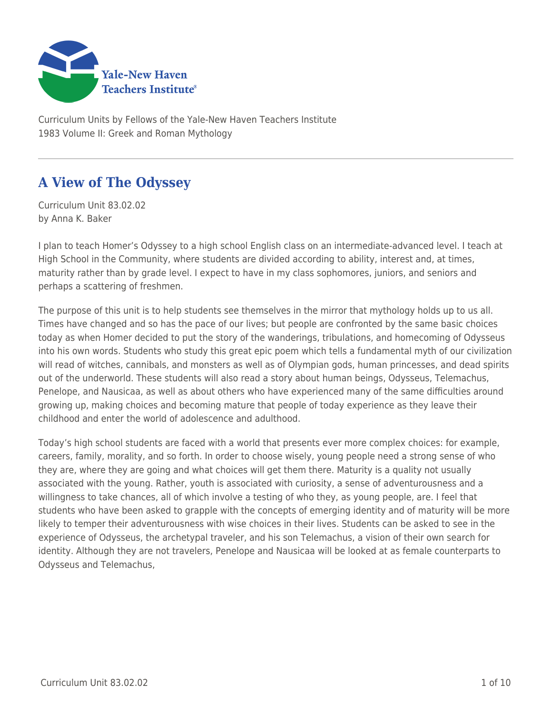

Curriculum Units by Fellows of the Yale-New Haven Teachers Institute 1983 Volume II: Greek and Roman Mythology

# **A View of The Odyssey**

Curriculum Unit 83.02.02 by Anna K. Baker

I plan to teach Homer's Odyssey to a high school English class on an intermediate-advanced level. I teach at High School in the Community, where students are divided according to ability, interest and, at times, maturity rather than by grade level. I expect to have in my class sophomores, juniors, and seniors and perhaps a scattering of freshmen.

The purpose of this unit is to help students see themselves in the mirror that mythology holds up to us all. Times have changed and so has the pace of our lives; but people are confronted by the same basic choices today as when Homer decided to put the story of the wanderings, tribulations, and homecoming of Odysseus into his own words. Students who study this great epic poem which tells a fundamental myth of our civilization will read of witches, cannibals, and monsters as well as of Olympian gods, human princesses, and dead spirits out of the underworld. These students will also read a story about human beings, Odysseus, Telemachus, Penelope, and Nausicaa, as well as about others who have experienced many of the same difficulties around growing up, making choices and becoming mature that people of today experience as they leave their childhood and enter the world of adolescence and adulthood.

Today's high school students are faced with a world that presents ever more complex choices: for example, careers, family, morality, and so forth. In order to choose wisely, young people need a strong sense of who they are, where they are going and what choices will get them there. Maturity is a quality not usually associated with the young. Rather, youth is associated with curiosity, a sense of adventurousness and a willingness to take chances, all of which involve a testing of who they, as young people, are. I feel that students who have been asked to grapple with the concepts of emerging identity and of maturity will be more likely to temper their adventurousness with wise choices in their lives. Students can be asked to see in the experience of Odysseus, the archetypal traveler, and his son Telemachus, a vision of their own search for identity. Although they are not travelers, Penelope and Nausicaa will be looked at as female counterparts to Odysseus and Telemachus,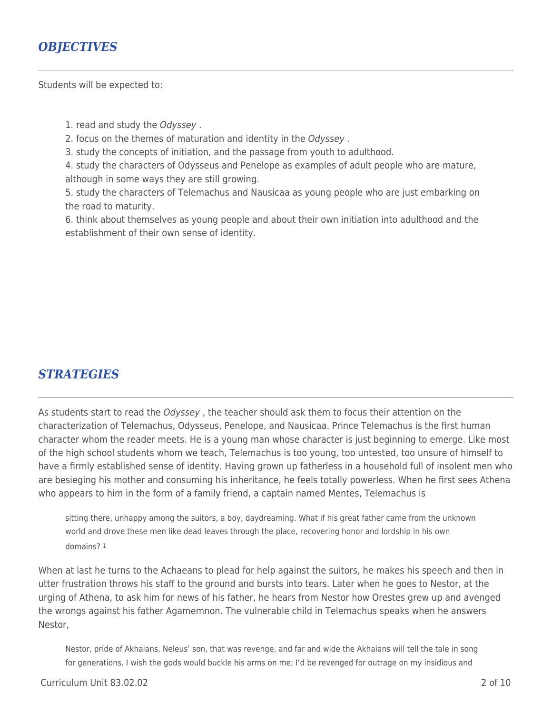### *OBJECTIVES*

Students will be expected to:

1. read and study the Odyssey .

2. focus on the themes of maturation and identity in the Odyssey .

3. study the concepts of initiation, and the passage from youth to adulthood.

4. study the characters of Odysseus and Penelope as examples of adult people who are mature, although in some ways they are still growing.

5. study the characters of Telemachus and Nausicaa as young people who are just embarking on the road to maturity.

6. think about themselves as young people and about their own initiation into adulthood and the establishment of their own sense of identity.

### *STRATEGIES*

As students start to read the Odyssey, the teacher should ask them to focus their attention on the characterization of Telemachus, Odysseus, Penelope, and Nausicaa. Prince Telemachus is the first human character whom the reader meets. He is a young man whose character is just beginning to emerge. Like most of the high school students whom we teach, Telemachus is too young, too untested, too unsure of himself to have a firmly established sense of identity. Having grown up fatherless in a household full of insolent men who are besieging his mother and consuming his inheritance, he feels totally powerless. When he first sees Athena who appears to him in the form of a family friend, a captain named Mentes, Telemachus is

sitting there, unhappy among the suitors, a boy, daydreaming. What if his great father came from the unknown world and drove these men like dead leaves through the place, recovering honor and lordship in his own domains? 1

When at last he turns to the Achaeans to plead for help against the suitors, he makes his speech and then in utter frustration throws his staff to the ground and bursts into tears. Later when he goes to Nestor, at the urging of Athena, to ask him for news of his father, he hears from Nestor how Orestes grew up and avenged the wrongs against his father Agamemnon. The vulnerable child in Telemachus speaks when he answers Nestor,

Nestor, pride of Akhaians, Neleus' son, that was revenge, and far and wide the Akhaians will tell the tale in song for generations. I wish the gods would buckle his arms on me; I'd be revenged for outrage on my insidious and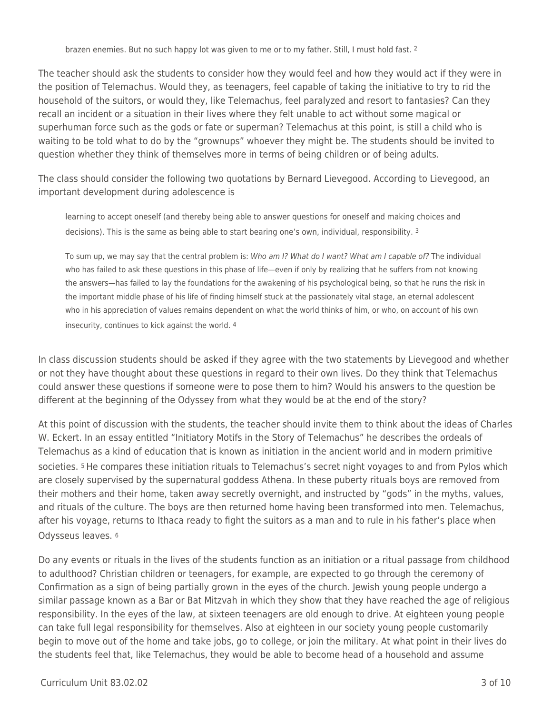brazen enemies. But no such happy lot was given to me or to my father. Still, I must hold fast. 2

The teacher should ask the students to consider how they would feel and how they would act if they were in the position of Telemachus. Would they, as teenagers, feel capable of taking the initiative to try to rid the household of the suitors, or would they, like Telemachus, feel paralyzed and resort to fantasies? Can they recall an incident or a situation in their lives where they felt unable to act without some magical or superhuman force such as the gods or fate or superman? Telemachus at this point, is still a child who is waiting to be told what to do by the "grownups" whoever they might be. The students should be invited to question whether they think of themselves more in terms of being children or of being adults.

The class should consider the following two quotations by Bernard Lievegood. According to Lievegood, an important development during adolescence is

learning to accept oneself (and thereby being able to answer questions for oneself and making choices and decisions). This is the same as being able to start bearing one's own, individual, responsibility. 3

To sum up, we may say that the central problem is: Who am I? What do I want? What am I capable of? The individual who has failed to ask these questions in this phase of life—even if only by realizing that he suffers from not knowing the answers—has failed to lay the foundations for the awakening of his psychological being, so that he runs the risk in the important middle phase of his life of finding himself stuck at the passionately vital stage, an eternal adolescent who in his appreciation of values remains dependent on what the world thinks of him, or who, on account of his own insecurity, continues to kick against the world. 4

In class discussion students should be asked if they agree with the two statements by Lievegood and whether or not they have thought about these questions in regard to their own lives. Do they think that Telemachus could answer these questions if someone were to pose them to him? Would his answers to the question be different at the beginning of the Odyssey from what they would be at the end of the story?

At this point of discussion with the students, the teacher should invite them to think about the ideas of Charles W. Eckert. In an essay entitled "Initiatory Motifs in the Story of Telemachus" he describes the ordeals of Telemachus as a kind of education that is known as initiation in the ancient world and in modern primitive societies. 5 He compares these initiation rituals to Telemachus's secret night voyages to and from Pylos which are closely supervised by the supernatural goddess Athena. In these puberty rituals boys are removed from their mothers and their home, taken away secretly overnight, and instructed by "gods" in the myths, values, and rituals of the culture. The boys are then returned home having been transformed into men. Telemachus, after his voyage, returns to Ithaca ready to fight the suitors as a man and to rule in his father's place when Odysseus leaves. <sup>6</sup>

Do any events or rituals in the lives of the students function as an initiation or a ritual passage from childhood to adulthood? Christian children or teenagers, for example, are expected to go through the ceremony of Confirmation as a sign of being partially grown in the eyes of the church. Jewish young people undergo a similar passage known as a Bar or Bat Mitzvah in which they show that they have reached the age of religious responsibility. In the eyes of the law, at sixteen teenagers are old enough to drive. At eighteen young people can take full legal responsibility for themselves. Also at eighteen in our society young people customarily begin to move out of the home and take jobs, go to college, or join the military. At what point in their lives do the students feel that, like Telemachus, they would be able to become head of a household and assume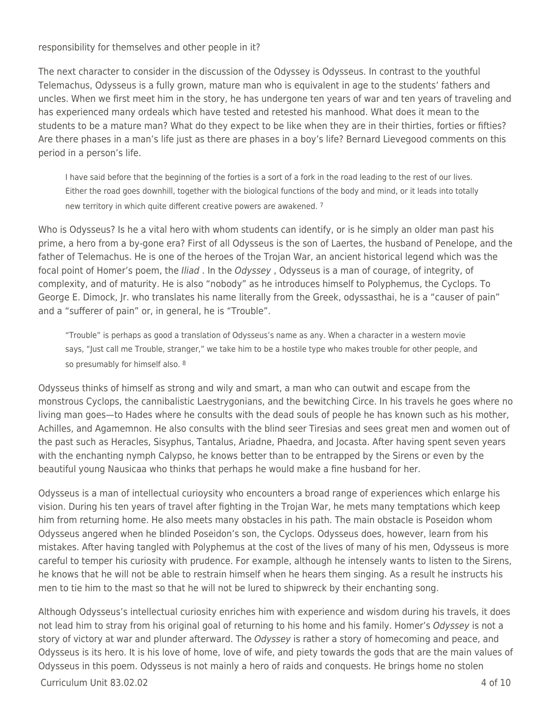responsibility for themselves and other people in it?

The next character to consider in the discussion of the Odyssey is Odysseus. In contrast to the youthful Telemachus, Odysseus is a fully grown, mature man who is equivalent in age to the students' fathers and uncles. When we first meet him in the story, he has undergone ten years of war and ten years of traveling and has experienced many ordeals which have tested and retested his manhood. What does it mean to the students to be a mature man? What do they expect to be like when they are in their thirties, forties or fifties? Are there phases in a man's life just as there are phases in a boy's life? Bernard Lievegood comments on this period in a person's life.

I have said before that the beginning of the forties is a sort of a fork in the road leading to the rest of our lives. Either the road goes downhill, together with the biological functions of the body and mind, or it leads into totally new territory in which quite different creative powers are awakened. 7

Who is Odysseus? Is he a vital hero with whom students can identify, or is he simply an older man past his prime, a hero from a by-gone era? First of all Odysseus is the son of Laertes, the husband of Penelope, and the father of Telemachus. He is one of the heroes of the Trojan War, an ancient historical legend which was the focal point of Homer's poem, the *Iliad*. In the Odyssey, Odysseus is a man of courage, of integrity, of complexity, and of maturity. He is also "nobody" as he introduces himself to Polyphemus, the Cyclops. To George E. Dimock, Jr. who translates his name literally from the Greek, odyssasthai, he is a "causer of pain" and a "sufferer of pain" or, in general, he is "Trouble".

"Trouble" is perhaps as good a translation of Odysseus's name as any. When a character in a western movie says, "Just call me Trouble, stranger," we take him to be a hostile type who makes trouble for other people, and so presumably for himself also. 8

Odysseus thinks of himself as strong and wily and smart, a man who can outwit and escape from the monstrous Cyclops, the cannibalistic Laestrygonians, and the bewitching Circe. In his travels he goes where no living man goes—to Hades where he consults with the dead souls of people he has known such as his mother, Achilles, and Agamemnon. He also consults with the blind seer Tiresias and sees great men and women out of the past such as Heracles, Sisyphus, Tantalus, Ariadne, Phaedra, and Jocasta. After having spent seven years with the enchanting nymph Calypso, he knows better than to be entrapped by the Sirens or even by the beautiful young Nausicaa who thinks that perhaps he would make a fine husband for her.

Odysseus is a man of intellectual curioysity who encounters a broad range of experiences which enlarge his vision. During his ten years of travel after fighting in the Trojan War, he mets many temptations which keep him from returning home. He also meets many obstacles in his path. The main obstacle is Poseidon whom Odysseus angered when he blinded Poseidon's son, the Cyclops. Odysseus does, however, learn from his mistakes. After having tangled with Polyphemus at the cost of the lives of many of his men, Odysseus is more careful to temper his curiosity with prudence. For example, although he intensely wants to listen to the Sirens, he knows that he will not be able to restrain himself when he hears them singing. As a result he instructs his men to tie him to the mast so that he will not be lured to shipwreck by their enchanting song.

Although Odysseus's intellectual curiosity enriches him with experience and wisdom during his travels, it does not lead him to stray from his original goal of returning to his home and his family. Homer's Odyssey is not a story of victory at war and plunder afterward. The Odyssey is rather a story of homecoming and peace, and Odysseus is its hero. It is his love of home, love of wife, and piety towards the gods that are the main values of Odysseus in this poem. Odysseus is not mainly a hero of raids and conquests. He brings home no stolen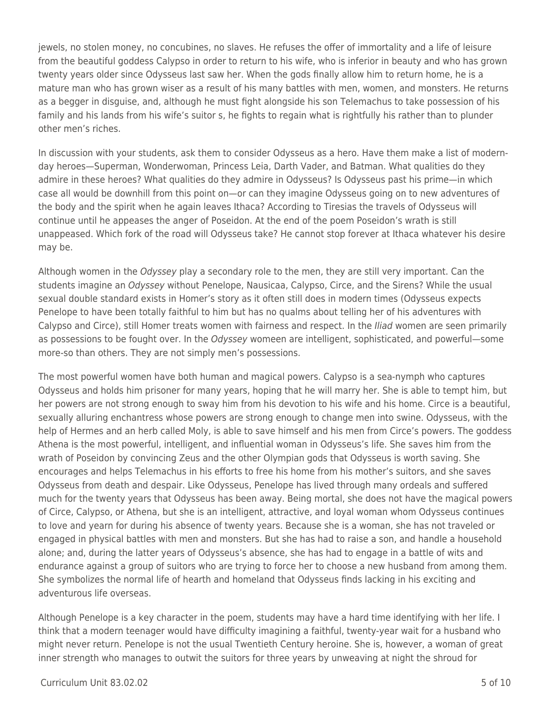jewels, no stolen money, no concubines, no slaves. He refuses the offer of immortality and a life of leisure from the beautiful goddess Calypso in order to return to his wife, who is inferior in beauty and who has grown twenty years older since Odysseus last saw her. When the gods finally allow him to return home, he is a mature man who has grown wiser as a result of his many battles with men, women, and monsters. He returns as a begger in disguise, and, although he must fight alongside his son Telemachus to take possession of his family and his lands from his wife's suitor s, he fights to regain what is rightfully his rather than to plunder other men's riches.

In discussion with your students, ask them to consider Odysseus as a hero. Have them make a list of modernday heroes—Superman, Wonderwoman, Princess Leia, Darth Vader, and Batman. What qualities do they admire in these heroes? What qualities do they admire in Odysseus? Is Odysseus past his prime—in which case all would be downhill from this point on—or can they imagine Odysseus going on to new adventures of the body and the spirit when he again leaves Ithaca? According to Tiresias the travels of Odysseus will continue until he appeases the anger of Poseidon. At the end of the poem Poseidon's wrath is still unappeased. Which fork of the road will Odysseus take? He cannot stop forever at Ithaca whatever his desire may be.

Although women in the Odyssey play a secondary role to the men, they are still very important. Can the students imagine an Odyssey without Penelope, Nausicaa, Calypso, Circe, and the Sirens? While the usual sexual double standard exists in Homer's story as it often still does in modern times (Odysseus expects Penelope to have been totally faithful to him but has no qualms about telling her of his adventures with Calypso and Circe), still Homer treats women with fairness and respect. In the *Iliad* women are seen primarily as possessions to be fought over. In the Odyssey womeen are intelligent, sophisticated, and powerful—some more-so than others. They are not simply men's possessions.

The most powerful women have both human and magical powers. Calypso is a sea-nymph who captures Odysseus and holds him prisoner for many years, hoping that he will marry her. She is able to tempt him, but her powers are not strong enough to sway him from his devotion to his wife and his home. Circe is a beautiful, sexually alluring enchantress whose powers are strong enough to change men into swine. Odysseus, with the help of Hermes and an herb called Moly, is able to save himself and his men from Circe's powers. The goddess Athena is the most powerful, intelligent, and influential woman in Odysseus's life. She saves him from the wrath of Poseidon by convincing Zeus and the other Olympian gods that Odysseus is worth saving. She encourages and helps Telemachus in his efforts to free his home from his mother's suitors, and she saves Odysseus from death and despair. Like Odysseus, Penelope has lived through many ordeals and suffered much for the twenty years that Odysseus has been away. Being mortal, she does not have the magical powers of Circe, Calypso, or Athena, but she is an intelligent, attractive, and loyal woman whom Odysseus continues to love and yearn for during his absence of twenty years. Because she is a woman, she has not traveled or engaged in physical battles with men and monsters. But she has had to raise a son, and handle a household alone; and, during the latter years of Odysseus's absence, she has had to engage in a battle of wits and endurance against a group of suitors who are trying to force her to choose a new husband from among them. She symbolizes the normal life of hearth and homeland that Odysseus finds lacking in his exciting and adventurous life overseas.

Although Penelope is a key character in the poem, students may have a hard time identifying with her life. I think that a modern teenager would have difficulty imagining a faithful, twenty-year wait for a husband who might never return. Penelope is not the usual Twentieth Century heroine. She is, however, a woman of great inner strength who manages to outwit the suitors for three years by unweaving at night the shroud for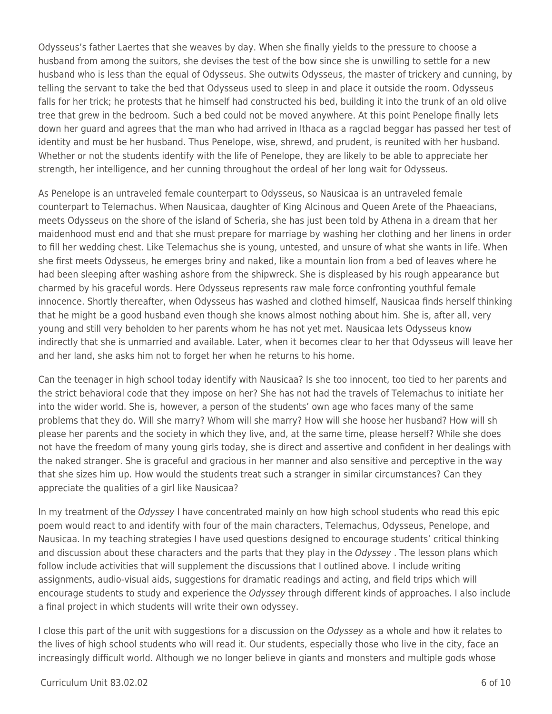Odysseus's father Laertes that she weaves by day. When she finally yields to the pressure to choose a husband from among the suitors, she devises the test of the bow since she is unwilling to settle for a new husband who is less than the equal of Odysseus. She outwits Odysseus, the master of trickery and cunning, by telling the servant to take the bed that Odysseus used to sleep in and place it outside the room. Odysseus falls for her trick; he protests that he himself had constructed his bed, building it into the trunk of an old olive tree that grew in the bedroom. Such a bed could not be moved anywhere. At this point Penelope finally lets down her guard and agrees that the man who had arrived in Ithaca as a ragclad beggar has passed her test of identity and must be her husband. Thus Penelope, wise, shrewd, and prudent, is reunited with her husband. Whether or not the students identify with the life of Penelope, they are likely to be able to appreciate her strength, her intelligence, and her cunning throughout the ordeal of her long wait for Odysseus.

As Penelope is an untraveled female counterpart to Odysseus, so Nausicaa is an untraveled female counterpart to Telemachus. When Nausicaa, daughter of King Alcinous and Queen Arete of the Phaeacians, meets Odysseus on the shore of the island of Scheria, she has just been told by Athena in a dream that her maidenhood must end and that she must prepare for marriage by washing her clothing and her linens in order to fill her wedding chest. Like Telemachus she is young, untested, and unsure of what she wants in life. When she first meets Odysseus, he emerges briny and naked, like a mountain lion from a bed of leaves where he had been sleeping after washing ashore from the shipwreck. She is displeased by his rough appearance but charmed by his graceful words. Here Odysseus represents raw male force confronting youthful female innocence. Shortly thereafter, when Odysseus has washed and clothed himself, Nausicaa finds herself thinking that he might be a good husband even though she knows almost nothing about him. She is, after all, very young and still very beholden to her parents whom he has not yet met. Nausicaa lets Odysseus know indirectly that she is unmarried and available. Later, when it becomes clear to her that Odysseus will leave her and her land, she asks him not to forget her when he returns to his home.

Can the teenager in high school today identify with Nausicaa? Is she too innocent, too tied to her parents and the strict behavioral code that they impose on her? She has not had the travels of Telemachus to initiate her into the wider world. She is, however, a person of the students' own age who faces many of the same problems that they do. Will she marry? Whom will she marry? How will she hoose her husband? How will sh please her parents and the society in which they live, and, at the same time, please herself? While she does not have the freedom of many young girls today, she is direct and assertive and confident in her dealings with the naked stranger. She is graceful and gracious in her manner and also sensitive and perceptive in the way that she sizes him up. How would the students treat such a stranger in similar circumstances? Can they appreciate the qualities of a girl like Nausicaa?

In my treatment of the Odyssey I have concentrated mainly on how high school students who read this epic poem would react to and identify with four of the main characters, Telemachus, Odysseus, Penelope, and Nausicaa. In my teaching strategies I have used questions designed to encourage students' critical thinking and discussion about these characters and the parts that they play in the Odyssey. The lesson plans which follow include activities that will supplement the discussions that I outlined above. I include writing assignments, audio-visual aids, suggestions for dramatic readings and acting, and field trips which will encourage students to study and experience the Odyssey through different kinds of approaches. I also include a final project in which students will write their own odyssey.

I close this part of the unit with suggestions for a discussion on the Odyssey as a whole and how it relates to the lives of high school students who will read it. Our students, especially those who live in the city, face an increasingly difficult world. Although we no longer believe in giants and monsters and multiple gods whose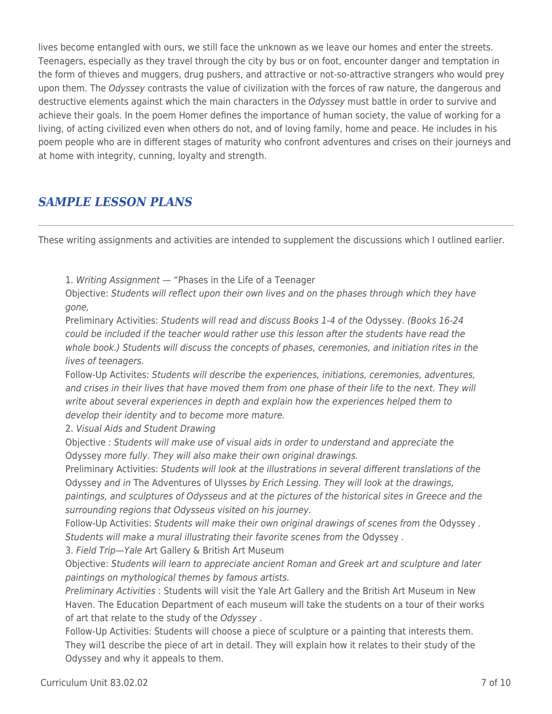lives become entangled with ours, we still face the unknown as we leave our homes and enter the streets. Teenagers, especially as they travel through the city by bus or on foot, encounter danger and temptation in the form of thieves and muggers, drug pushers, and attractive or not-so-attractive strangers who would prey upon them. The Odyssey contrasts the value of civilization with the forces of raw nature, the dangerous and destructive elements against which the main characters in the Odyssey must battle in order to survive and achieve their goals. In the poem Homer defines the importance of human society, the value of working for a living, of acting civilized even when others do not, and of loving family, home and peace. He includes in his poem people who are in different stages of maturity who confront adventures and crises on their journeys and at home with integrity, cunning, loyalty and strength.

## *SAMPLE LESSON PLANS*

These writing assignments and activities are intended to supplement the discussions which I outlined earlier.

1. Writing Assignment — "Phases in the Life of a Teenager

Objective: Students will reflect upon their own lives and on the phases through which they have gone,

Preliminary Activities: Students will read and discuss Books 1-4 of the Odyssey. (Books 16-24 could be included if the teacher would rather use this lesson after the students have read the whole book.) Students will discuss the concepts of phases, ceremonies, and initiation rites in the lives of teenagers.

Follow-Up Activites: Students will describe the experiences, initiations, ceremonies, adventures, and crises in their lives that have moved them from one phase of their life to the next. They will write about several experiences in depth and explain how the experiences helped them to develop their identity and to become more mature.

2. Visual Aids and Student Drawing

Objective : Students will make use of visual aids in order to understand and appreciate the Odyssey more fully. They will also make their own original drawings.

Preliminary Activities: Students will look at the illustrations in several different translations of the Odyssey and in The Adventures of Ulysses by Erich Lessing. They will look at the drawings,

paintings, and sculptures of Odysseus and at the pictures of the historical sites in Greece and the surrounding regions that Odysseus visited on his journey.

Follow-Up Activities: Students will make their own original drawings of scenes from the Odyssey . Students will make a mural illustrating their favorite scenes from the Odyssey .

3. Field Trip—Yale Art Gallery & British Art Museum

Objective: Students will learn to appreciate ancient Roman and Greek art and sculpture and later paintings on mythological themes by famous artists.

Preliminary Activities : Students will visit the Yale Art Gallery and the British Art Museum in New Haven. The Education Department of each museum will take the students on a tour of their works of art that relate to the study of the Odyssey .

Follow-Up Activities: Students will choose a piece of sculpture or a painting that interests them. They wil1 describe the piece of art in detail. They will explain how it relates to their study of the Odyssey and why it appeals to them.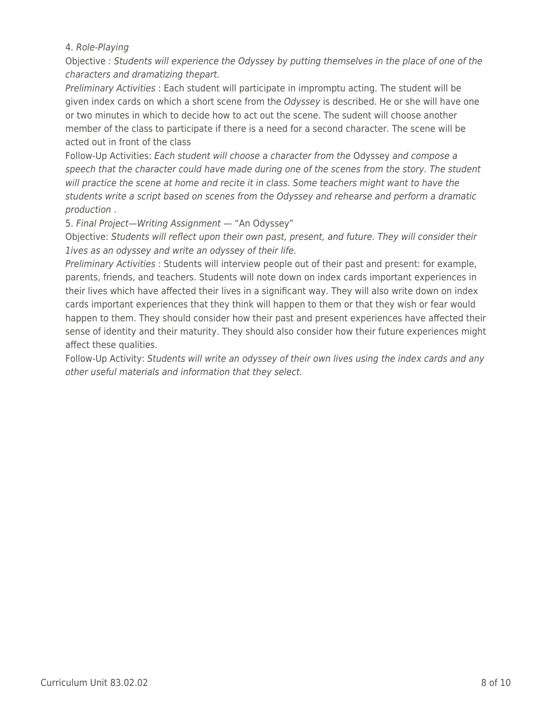### 4. Role-Playing

Objective : Students will experience the Odyssey by putting themselves in the place of one of the characters and dramatizing thepart.

Preliminary Activities : Each student will participate in impromptu acting. The student will be given index cards on which a short scene from the Odyssey is described. He or she will have one or two minutes in which to decide how to act out the scene. The sudent will choose another member of the class to participate if there is a need for a second character. The scene will be acted out in front of the class

Follow-Up Activities: Each student will choose a character from the Odyssey and compose a speech that the character could have made during one of the scenes from the story. The student will practice the scene at home and recite it in class. Some teachers might want to have the students write a script based on scenes from the Odyssey and rehearse and perform a dramatic production .

5. Final Project—Writing Assignment — "An Odyssey"

Objective: Students will reflect upon their own past, present, and future. They will consider their 1ives as an odyssey and write an odyssey of their life.

Preliminary Activities : Students will interview people out of their past and present: for example, parents, friends, and teachers. Students will note down on index cards important experiences in their lives which have affected their lives in a significant way. They will also write down on index cards important experiences that they think will happen to them or that they wish or fear would happen to them. They should consider how their past and present experiences have affected their sense of identity and their maturity. They should also consider how their future experiences might affect these qualities.

Follow-Up Activity: Students will write an odyssey of their own lives using the index cards and any other useful materials and information that they select.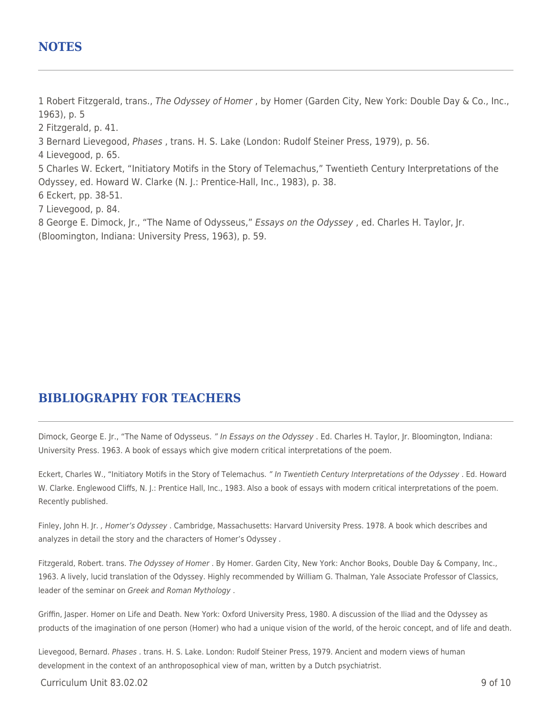### **NOTES**

1 Robert Fitzgerald, trans., The Odyssey of Homer, by Homer (Garden City, New York: Double Day & Co., Inc., 1963), p. 5

2 Fitzgerald, p. 41.

3 Bernard Lievegood, Phases , trans. H. S. Lake (London: Rudolf Steiner Press, 1979), p. 56.

4 Lievegood, p. 65.

5 Charles W. Eckert, "Initiatory Motifs in the Story of Telemachus," Twentieth Century Interpretations of the Odyssey, ed. Howard W. Clarke (N. J.: Prentice-Hall, Inc., 1983), p. 38.

6 Eckert, pp. 38-51.

7 Lievegood, p. 84.

8 George E. Dimock, Jr., "The Name of Odysseus," Essays on the Odyssey, ed. Charles H. Taylor, Jr. (Bloomington, Indiana: University Press, 1963), p. 59.

### **BIBLIOGRAPHY FOR TEACHERS**

Dimock, George E. Jr., "The Name of Odysseus. " In Essays on the Odyssey . Ed. Charles H. Taylor, Jr. Bloomington, Indiana: University Press. 1963. A book of essays which give modern critical interpretations of the poem.

Eckert, Charles W., "Initiatory Motifs in the Story of Telemachus. " In Twentieth Century Interpretations of the Odyssey . Ed. Howard W. Clarke. Englewood Cliffs, N. J.: Prentice Hall, Inc., 1983. Also a book of essays with modern critical interpretations of the poem. Recently published.

Finley, John H. Jr., Homer's Odyssey. Cambridge, Massachusetts: Harvard University Press. 1978. A book which describes and analyzes in detail the story and the characters of Homer's Odyssey .

Fitzgerald, Robert. trans. The Odyssey of Homer . By Homer. Garden City, New York: Anchor Books, Double Day & Company, Inc., 1963. A lively, lucid translation of the Odyssey. Highly recommended by William G. Thalman, Yale Associate Professor of Classics, leader of the seminar on Greek and Roman Mythology .

Griffin, Jasper. Homer on Life and Death. New York: Oxford University Press, 1980. A discussion of the Iliad and the Odyssey as products of the imagination of one person (Homer) who had a unique vision of the world, of the heroic concept, and of life and death.

Lievegood, Bernard. Phases . trans. H. S. Lake. London: Rudolf Steiner Press, 1979. Ancient and modern views of human development in the context of an anthroposophical view of man, written by a Dutch psychiatrist.

 $C$ urriculum Unit 83.02.02 9 of 10